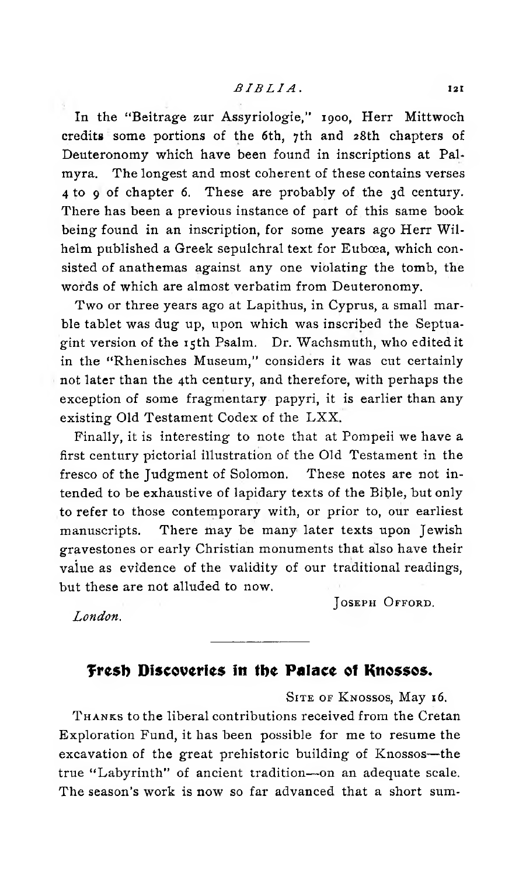In the "Beitrage zur Assyriologie," 1900, Herr Mittwoch credits some portions of the 6th, 7th and 28th chapters of Deuteronomy which have been found in inscriptions at Palmyra. The longest and most coherent of these contains verses 4 to 9 of chapter 6. These are probably of the 3d century. There has been a previous instance of part of this same book being found in an inscription, for some years ago Herr Wilhelm published a Greek sepulchral text for Euboea, which consisted of anathemas against any one violating the tomb, the words of which are almost verbatim from Deuteronomy.

Two or three years ago at Lapithus, in Cyprus, a small marble tablet was dug up, upon which was inscribed the Septuagint version of the 15th Psalm. Dr. Wachsmuth, who edited it in the "Rhenisches Museum," considers it was cut certainly not later than the 4th century, and therefore, with perhaps the exception of some fragmentary papyri, it is earlier than any existing Old Testament Codex of the LXX.

Finally, it is interesting to note that at Pompeii we have a first century pictorial illustration of the Old Testament in the fresco of the Judgment of Solomon. These notes are not intended to be exhaustive of lapidary texts of the Bible, but only to refer to those contemporary with, or prior to, our earliest manuscripts. There may be many later texts upon Jewish gravestones or early Christian monuments that also have their value as evidence of the validity of our traditional readings, but these are not alluded to now.

**J oseph O fford .**

*London.*

## Fresh Discoveries in the Palace of Knossos.

**S ite of K nossos,** May **16. T hanks** to the liberal contributions received from the Cretan Exploration Fund, it has been possible for me to resume the excavation of the great prehistoric building of Knossos—the true "Labyrinth" of ancient tradition—on an adequate scale. The season's work is now so far advanced that a short sum-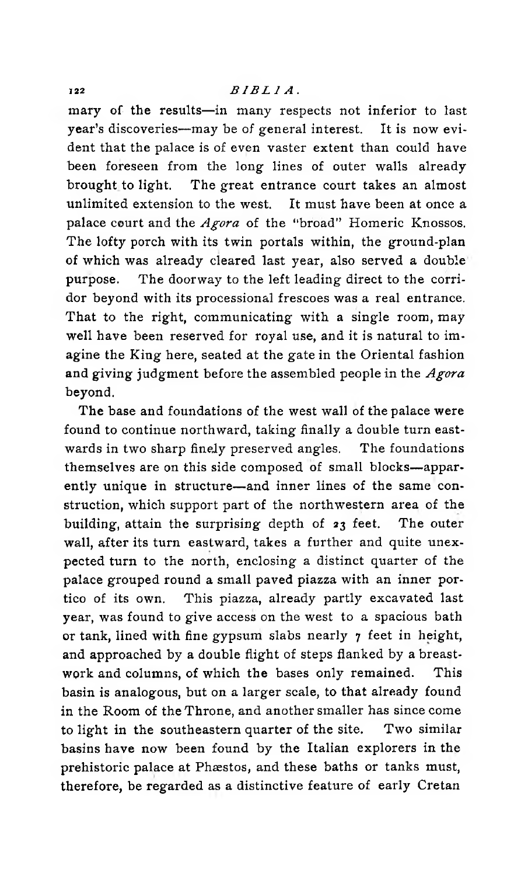mary of the results—in many respects not inferior to last year's discoveries—may be of general interest. It is now evident that the palace is of even vaster extent than could have been foreseen from the long lines of outer walls already brought to light. The great entrance court takes an almost unlimited extension to the west. It must have been at once a palace court and the *Agora* of the "broad" Homeric Knossos. The lofty porch with its twin portals within, the ground-plan of which was already cleared last year, also served a double purpose. The doorway to the left leading direct to the corridor beyond with its processional frescoes was a real entrance. That to the right, communicating with a single room, may well have been reserved for royal use, and it is natural to imagine the King here, seated at the gate in the Oriental fashion and giving judgment before the assembled people in the *Agora* beyond.

The base and foundations of the west wall of the palace were found to continue northward, taking finally a double turn eastwards in two sharp finely preserved angles. The foundations themselves are on this side composed of small blocks—apparently unique in structure—and inner lines of the same construction, which support part of the northwestern area of the building, attain the surprising depth of  $z_3$  feet. The outer wall, after its turn eastward, takes a further and quite unexpected turn to the north, enclosing a distinct quarter of the palace grouped round a small paved piazza with an inner portico of its own. This piazza, already partly excavated last year, was found to give access on the west to a spacious bath or tank, lined with fine gypsum slabs nearly  $\gamma$  feet in height, and approached by a double flight of steps flanked by a breastwork and columns, of which the bases only remained. This basin is analogous, but on a larger scale, to that already found in the Room of the Throne, and another smaller has since come to light in the southeastern quarter of the site. Two similar basins have now been found by the Italian explorers in the prehistoric palace at Phæstos, and these baths or tanks must, therefore, be regarded as a distinctive feature of early Cretan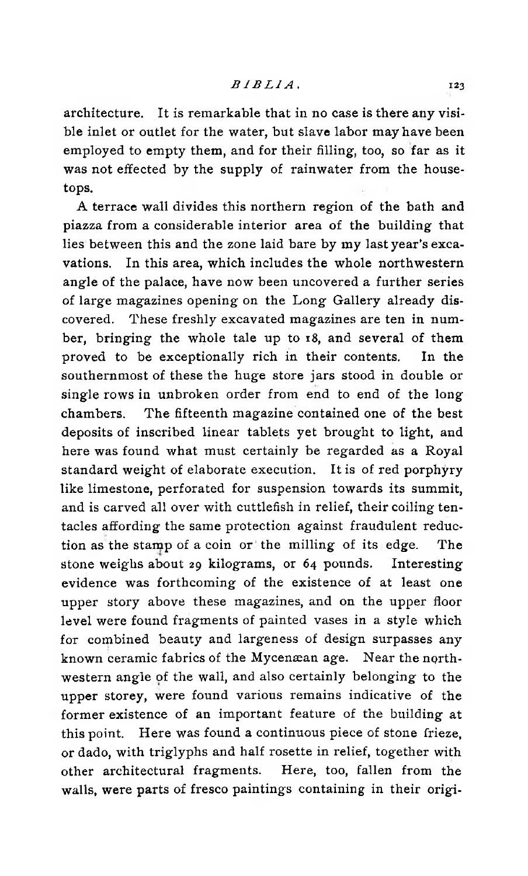architecture. It is remarkable that in no case is there any visible inlet or outlet for the water, but slave labor may have been employed to empty them, and for their filling, too, so far as it was not effected by the supply of rainwater from the housetops.

A terrace wall divides this northern region of the bath and piazza from a considerable interior area of the building that lies between this and the zone laid bare by my last year's excavations. In this area, which includes the whole northwestern angle of the palace, have now been uncovered a further series of large magazines opening on the Long Gallery already discovered. These freshly excavated magazines are ten in number, bringing the whole tale up to 18, and several of them proved to be exceptionally rich in their contents. In the southernmost of these the huge store jars stood in double or single rows in unbroken order from end to end of the long chambers. The fifteenth magazine contained one of the best deposits of inscribed linear tablets yet brought to light, and here was found what must certainly be regarded as a Royal standard weight of elaborate execution. It is of red porphyry like limestone, perforated for suspension towards its summit, and is carved all over with cuttlefish in relief, their coiling tentacles affording the same protection against fraudulent reduction as the stamp of a coin or the milling of its edge. The stone weighs about 29 kilograms, or 64 pounds. Interesting evidence was forthcoming of the existence of at least one upper story above these magazines, and on the upper floor level were found fragments of painted vases in a style which for combined beauty and largeness of design surpasses any known ceramic fabrics of the Mycenæan age. Near the northwestern angle of the wall, and also certainly belonging to the upper storey, were found various remains indicative of the former existence of an important feature of the building at this point. Here was found a continuous piece of stone frieze, or dado, with triglyphs and half rosette in relief, together with other architectural fragments. Here, too, fallen from the walls, were parts of fresco paintings containing in their origi-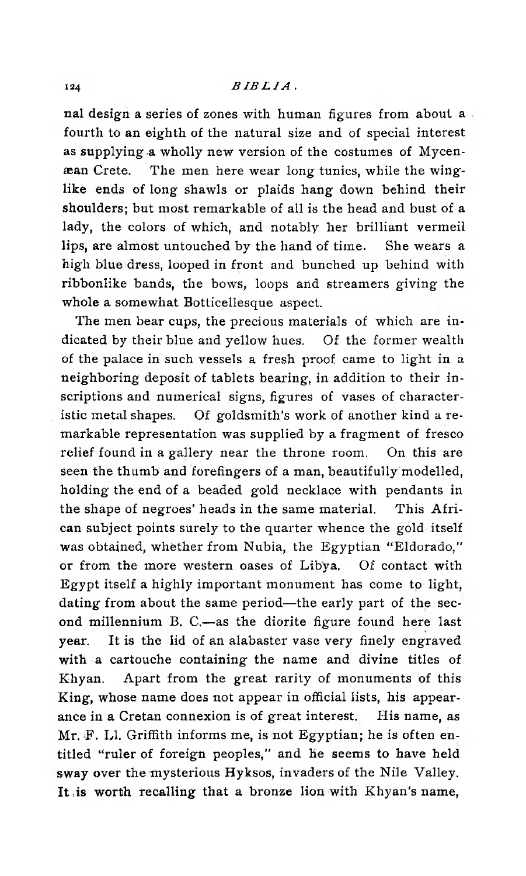## **<sup>124</sup>** *BIBLIA* .

nal design a series of zones with human figures from about a fourth to an eighth of the natural size and of special interest as supplying a wholly new version of the costumes of Mycenaean Crete. The men here wear long tunics, while the winglike ends of long shawls or plaids hang down behind their shoulders; but most remarkable of all is the head and bust of a lady, the colors of which, and notably her brilliant vermeil lips, are almost untouched by the hand of time. She wears a high blue dress, looped in front and bunched up behind with ribbonlike bands, the bows, loops and streamers giving the whole a somewhat Botticellesque aspect.

The men bear cups, the precious materials of which are indicated by their blue and yellow hues. Of the former wealth of the palace in such vessels a fresh proof came to light in a neighboring deposit of tablets bearing, in addition to their inscriptions and numerical signs, figures of vases of characteristic metal shapes. Of goldsmith's work of another kind a remarkable representation was supplied by a fragment of fresco relief found in a gallery near the throne room. On this are seen the thumb and forefingers of a man, beautifully modelled, holding the end of a beaded gold necklace with pendants in the shape of negroes' heads in the same material. This African subject points surely to the quarter whence the gold itself was obtained, whether from Nubia, the Egyptian ''Eldorado," or from the more western oases of Libya. Of contact with Egypt itself a highly important monument has come tp light, dating from about the same period—the early part of the second millennium B. C.—as the diorite figure found here last year. It is the lid of an alabaster vase very finely engraved with a cartouche containing the name and divine titles of Ehyan. Apart from the great rarity of monuments of this King, whose name does not appear in official lists, his appearance in a Cretan connexion is of great interest. His name, as Mr. F. LI. Griffith informs me, is not Egyptian; he is often entitled "ruler of foreign peoples," and he seems to have held sway over the mysterious Hyksos, invaders of the Nile Valley. It ,is worth recalling that a bronze lion with Khyan's name,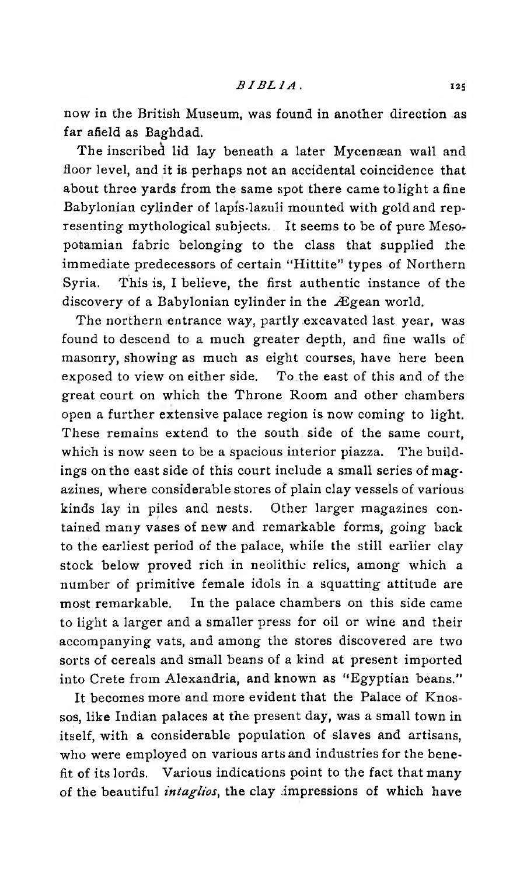now in the British Museum, was found in another direction as far afield as Baghdad.

The inscribed lid lay beneath a later Mycenæan wall and floor level, and it is perhaps not an accidental coincidence that about three yards from the same spot there came to light a fine Babylonian cylinder of lapis-lazuli mounted with gold and representing mythological subjects. It seems to be of pure Mesopotamian fabric belonging to the class that supplied the immediate predecessors of certain "Hittite" types of Northern Syria. This is, I believe, the first authentic instance of the discovery of a Babylonian cylinder in the Ægean world.

The northern entrance way, partly excavated last year, was found to descend to a much greater depth, and fine walls of masonry, showing as much as eight courses, have here been exposed to view on either side. To the east of this and of the great court on which the Throne Room and other chambers open a further extensive palace region is now coming to light. These remains extend to the south side of the same court, which is now seen to be a spacious interior piazza. The buildings on the east side of this court include a small series of magazines, where considerable stores of plain clay vessels of various kinds lay in piles and nests. Other larger magazines contained many vases of new and remarkable forms, going back to the earliest period of the palace, while the still earlier clay stock below proved rich in neolithic relics, among which a number of primitive female idols in a squatting attitude are most remarkable. In the palace chambers on this side came to light a larger and a smaller press for oil or wine and their accompanying vats, and among the stores discovered are two sorts of cereals and small beans of a kind at present imported into Crete from Alexandria, and known as "Egyptian beans."

It becomes more and more evident that the Palace of Knossos, like Indian palaces at the present day, was a small town in itself, with a considerable population of slaves and artisans, who were employed on various arts and industries for the benefit of its lords. Various indications point to the fact that many of the beautiful *intaglios*, the clay impressions of which have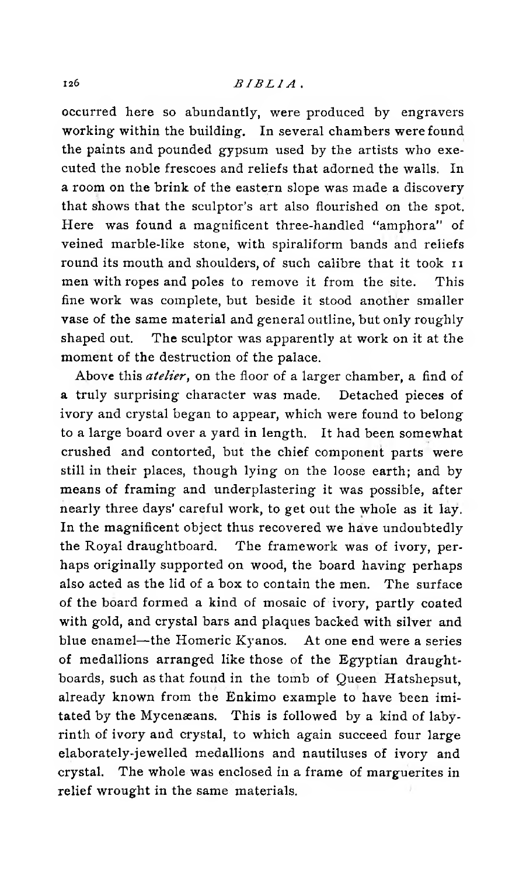occurred here so abundantly, were produced by engravers working within the building. In several chambers were found the paints and pounded gypsum used by the artists who executed the noble frescoes and reliefs that adorned the walls. In a room on the brink of the eastern slope was made a discovery that shows that the sculptor's art also flourished on the spot. Here was found a magnificent three-handled "amphora" of veined marble-like stone, with spiraliform bands and reliefs round its mouth and shoulders, of such calibre that it took 11 men with ropes and poles to remove it from the site. This fine work was complete, but beside it stood another smaller vase of the same material and general outline, but only roughly shaped out. The sculptor was apparently at work on it at the moment of the destruction of the palace.

Above this *atelier,* on the floor of a larger chamber, a find of a truly surprising character was made. Detached pieces of ivory and crystal began to appear, which were found to belong to a large board over a yard in length. It had been somewhat crushed and contorted, but the chief component parts were still in their places, though lying on the loose earth; and by means of framing and underplastering it was possible, after nearly three days' careful work, to get out the whole as it lay. In the magnificent object thus recovered we have undoubtedly the Royal draughtboard. The framework was of ivory, perhaps originally supported on wood, the board having perhaps also acted as the lid of a box to contain the men. The surface of the board formed a kind of mosaic of ivory, partly coated with gold, and crystal bars and plaques backed with silver and blue enamel—the Homeric Kyanos. At one end were a series of medallions arranged like those of the Egyptian draughtboards, such as that found in the tomb of Queen Hatshepsut, already known from the Enkimo example to have been imitated by the Mycenaeans. This is followed by a kind of labyrinth of ivory and crystal, to which again succeed four large elaborately-je welled medallions and nautiluses of ivory and crystal. The whole was enclosed in a frame of marguerites in relief wrought in the same materials.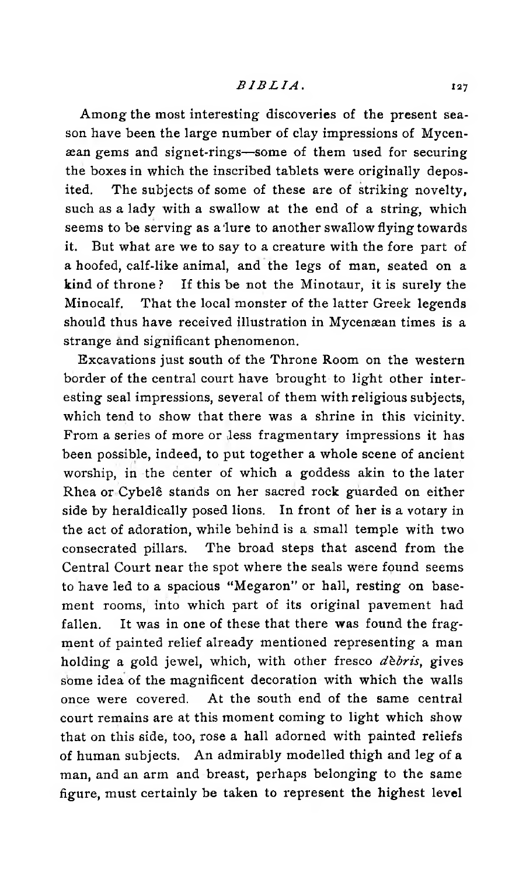## *BIBLIA.* 127

Among the most interesting discoveries of the present season have been the large number of clay impressions of Mycenaean gems and signet-rings—some of them used for securing the boxes in which the inscribed tablets were originally deposited. The subjects of some of these are of striking novelty, such as a lady with a swallow at the end of a string, which seems to be serving as a lure to another swallow flying towards it. But what are we to say to a creature with the fore part of a hoofed, calf-like animal, and the legs of man, seated on a kind of throne ? If this be not the Minotaur, it is surely the Minocalf. That the local monster of the latter Greek legends should thus have received illustration in Mycenæan times is a strange and significant phenomenon.

Excavations just south of the Throne Room on the western border of the central court have brought to light other interesting seal impressions, several of them with religious subjects, which tend to show that there was a shrine in this vicinity. From a series of more or less fragmentary impressions it has been possible, indeed, to put together a whole scene of ancient worship, in the center of which a goddess akin to the later Rhea or Cybelê stands on her sacred rock guarded on either side by heraldically posed lions. In front of her is a votary in the act of adoration, while behind is a small temple with two consecrated pillars. The broad steps that ascend from the Central Court near the spot where the seals were found seems to have led to a spacious "Megaron" or hall, resting on basement rooms, into which part of its original pavement had fallen. It was in one of these that there was found the fragment of painted relief already mentioned representing a man holding a gold jewel, which, with other fresco *debris*, gives some idea of the magnificent decoration with which the walls once were covered. At the south end of the same central court remains are at this moment coming to light which show that on this side, too, rose a hall adorned with painted reliefs of human subjects. An admirably modelled thigh and leg of a man, and an arm and breast, perhaps belonging to the same figure, must certainly be taken to represent the highest level